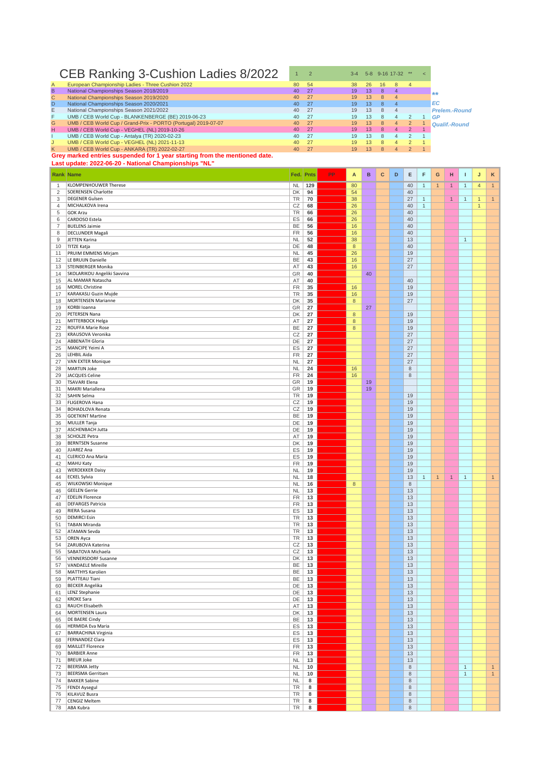## CEB Ranking 3-Cushion Ladies 8/2022 1 2 34 58 9-16 17-32 \*\* <

| European Championship Ladies - Three Cushion 2022              | 80                                                                         | 54   |          | 38              | 26 | 16 | 8              | $\overline{A}$ |                      |
|----------------------------------------------------------------|----------------------------------------------------------------------------|------|----------|-----------------|----|----|----------------|----------------|----------------------|
| National Championships Season 2018/2019                        | 40                                                                         | 27   |          | 19              | 13 | 8  | 4              |                | <b>Skoke</b>         |
| National Championships Season 2019/2020                        | 40                                                                         | 27   |          | 19              | 13 | 8  | $\mathbf{4}$   |                |                      |
| National Championships Season 2020/2021                        | 40                                                                         | - 27 |          | 19              | 13 | 8  | $\overline{a}$ |                | EC                   |
| National Championships Season 2021/2022                        | 40                                                                         | 27   |          | 19              | 13 | 8  |                |                | <b>Prelem.-Round</b> |
| UMB / CEB World Cup - BLANKENBERGE (BE) 2019-06-23             | 40                                                                         | - 27 |          | 19              | 13 | 8  | 4              |                | GP                   |
| UMB / CEB World Cup / Grand-Prix - PORTO (Portugal) 2019-07-07 | 40                                                                         | 27   |          | 19              | 13 | 8  | 4              |                | Qualif.-Round        |
| UMB / CEB World Cup - VEGHEL (NL) 2019-10-26                   | 40                                                                         |      |          | 19 <sup>°</sup> | 13 | 8  | 4              | 2              |                      |
| UMB / CEB World Cup - Antalya (TR) 2020-02-23                  | 40                                                                         | 27   |          | 19              | 13 | 8  | 4              |                |                      |
| UMB / CEB World Cup - VEGHEL (NL) 2021-11-13                   | 40                                                                         | 27   |          | 19              | 13 | 8  | 4              |                |                      |
| UMB / CEB World Cup - ANKARA (TR) 2022-02-27                   | 40                                                                         |      |          | 19              | 13 | 8  | 4              |                |                      |
|                                                                |                                                                            |      |          |                 |    |    |                |                |                      |
|                                                                | Grey marked entries suspended for 1 year starting from the mentioned date. |      | 27<br>27 |                 |    |    |                |                |                      |

**Last update: 2022-06-20 - National Championships "NL"**

|              | <b>Rank Name</b>                        |           | Fed. Pnts | <b>PP</b> | A                | $\mathbf B$ | C | D | Е                          | F            | G              | н            | т            | J              | κ            |
|--------------|-----------------------------------------|-----------|-----------|-----------|------------------|-------------|---|---|----------------------------|--------------|----------------|--------------|--------------|----------------|--------------|
| $\mathbf{1}$ | KLOMPENHOUWER Therese                   | <b>NL</b> | 129       |           | 80               |             |   |   | 40                         | $\mathbf{1}$ | $\mathbf{1}$   | $\mathbf{1}$ | $\mathbf{1}$ | $\overline{4}$ | $\vert$ 1    |
| 2            | <b>SOERENSEN Charlotte</b>              | DK        | 94        |           | 54               |             |   |   | 40                         |              |                |              |              |                |              |
| 3            | <b>DEGENER Gulsen</b>                   | TR        | 70        |           | 38               |             |   |   | 27                         | $\mathbf{1}$ |                | $\mathbf{1}$ | $\mathbf{1}$ | $\mathbf{1}$   | 1            |
| 4            | MICHALKOVA Irena                        | CZ        | 68        |           | 26               |             |   |   | 40                         | $\mathbf{1}$ |                |              |              | $\mathbf{1}$   |              |
| 5            | <b>GOK Arzu</b>                         | TR        | 66        |           | 26               |             |   |   | 40                         |              |                |              |              |                |              |
| 6            | CARDOSO Estela                          | ES        | 66        |           | 26               |             |   |   | 40                         |              |                |              |              |                |              |
| 7            | <b>BUELENS Jaimie</b>                   | BE        | 56        |           | 16               |             |   |   | 40                         |              |                |              |              |                |              |
| 8            | <b>DECLUNDER Magali</b>                 | FR        | 56        |           | 16               |             |   |   | 40                         |              |                |              |              |                |              |
| 9            | JETTEN Karina                           | <b>NL</b> | 52        |           | 38               |             |   |   | 13                         |              |                |              | $\mathbf{1}$ |                |              |
| 10           | TITZE Katja                             | DE        | 48        |           | $\bf 8$          |             |   |   | 40                         |              |                |              |              |                |              |
| 11           | <b>PRUIM EMMENS Mirjam</b>              | <b>NL</b> | 45        |           | 26               |             |   |   | 19                         |              |                |              |              |                |              |
| 12           | LE BRUIJN Danielle                      | BE        | 43        |           | 16               |             |   |   | 27                         |              |                |              |              |                |              |
| 13           | STEINBERGER Monika                      | AT        | 43        |           | 16               |             |   |   | 27                         |              |                |              |              |                |              |
| 14           | SKOLARIKOU Angeliki Savvina             | GR        | 40        |           |                  | 40          |   |   |                            |              |                |              |              |                |              |
| 15           | AL MAMAR Natascha                       | AT        | 40        |           |                  |             |   |   | 40                         |              |                |              |              |                |              |
| 16           | MOREL Christine                         | FR        | 35        |           | 16               |             |   |   | 19                         |              |                |              |              |                |              |
| 17           | KARAKASLI Guzin Mujde                   | TR        | 35        |           | 16               |             |   |   | 19                         |              |                |              |              |                |              |
| 18           | MORTENSEN Marianne                      | DK        | 35        |           | $\bf 8$          |             |   |   | 27                         |              |                |              |              |                |              |
| 19           | KORBI Ioanna                            | GR        | 27        |           |                  | 27          |   |   |                            |              |                |              |              |                |              |
| 20           | <b>PETERSEN Nana</b>                    | DK        | 27        |           | $\boldsymbol{8}$ |             |   |   | 19                         |              |                |              |              |                |              |
| 21           | MITTERBOCK Helga                        | AT        | 27        |           | $\boldsymbol{8}$ |             |   |   | 19                         |              |                |              |              |                |              |
| 22           | <b>ROUFFA Marie Rose</b>                | BE        | 27        |           | $\boldsymbol{8}$ |             |   |   | 19                         |              |                |              |              |                |              |
| 23           | KRAUSOVA Veronika                       | CZ        | 27        |           |                  |             |   |   | 27                         |              |                |              |              |                |              |
| 24           | <b>ABBENATH Gloria</b>                  | DE        | 27        |           |                  |             |   |   | 27                         |              |                |              |              |                |              |
| 25           | MANCIPE Yeimi A                         | ES        | 27        |           |                  |             |   |   | 27                         |              |                |              |              |                |              |
| 26           | LEHBIL Aida                             | FR        | 27        |           |                  |             |   |   | 27                         |              |                |              |              |                |              |
| 27           | VAN EXTER Monique                       | <b>NL</b> | 27        |           |                  |             |   |   | 27                         |              |                |              |              |                |              |
| 28           | MARTIJN Joke                            | <b>NL</b> | 24        |           | 16               |             |   |   | $\,$ 8 $\,$                |              |                |              |              |                |              |
| 29           | JACQUES Celine                          | FR        | 24        |           | 16               |             |   |   | 8                          |              |                |              |              |                |              |
| 30           | <b>TSAVARI Elena</b>                    | GR        | 19        |           |                  | 19          |   |   |                            |              |                |              |              |                |              |
| 31           | MAKRI Mariallena<br>SAHIN Selma         | GR        | 19        |           |                  | 19          |   |   |                            |              |                |              |              |                |              |
| 32           |                                         | TR        | 19        |           |                  |             |   |   | 19                         |              |                |              |              |                |              |
| 33           | <b>FLIGEROVA Hana</b>                   | CZ        | 19        |           |                  |             |   |   | 19                         |              |                |              |              |                |              |
| 34           | <b>BOHADLOVA Renata</b>                 | CZ        | 19        |           |                  |             |   |   | 19                         |              |                |              |              |                |              |
| 35           | <b>GOETKINT Martine</b><br>MULLER Tanja | BE<br>DE  | 19        |           |                  |             |   |   | 19<br>19                   |              |                |              |              |                |              |
| 36<br>37     | ASCHENBACH Jutta                        | DE        | 19        |           |                  |             |   |   | 19                         |              |                |              |              |                |              |
| 38           | SCHOLZE Petra                           | AT        | 19<br>19  |           |                  |             |   |   | 19                         |              |                |              |              |                |              |
| 39           | <b>BERNTSEN Susanne</b>                 | DK        | 19        |           |                  |             |   |   | 19                         |              |                |              |              |                |              |
| 40           | JUAREZ Ana                              | ES        | 19        |           |                  |             |   |   | 19                         |              |                |              |              |                |              |
| 41           | CLERICO Ana Maria                       | ES        | 19        |           |                  |             |   |   | 19                         |              |                |              |              |                |              |
| 42           | MAHU Katy                               | FR        | 19        |           |                  |             |   |   | 19                         |              |                |              |              |                |              |
| 43           | <b>WERDEKKER Daisy</b>                  | <b>NL</b> | 19        |           |                  |             |   |   | 19                         |              |                |              |              |                |              |
| 44           | <b>ECKEL Sylvia</b>                     | <b>NL</b> | 18        |           |                  |             |   |   | 13                         | $\mathbf{1}$ | $\overline{1}$ | $\mathbf{1}$ | $\mathbf{1}$ |                | $\mathbf{1}$ |
| 45           | <b>WILKOWSKI Monique</b>                | <b>NL</b> | 16        |           | $\bf 8$          |             |   |   | $8\phantom{1}$             |              |                |              |              |                |              |
| 46           | <b>GEELEN</b> Gerrie                    | <b>NL</b> | 13        |           |                  |             |   |   | 13                         |              |                |              |              |                |              |
| 47           | <b>EDELIN Florence</b>                  | FR        | 13        |           |                  |             |   |   | 13                         |              |                |              |              |                |              |
| 48           | <b>DEFARGES Patricia</b>                | FR        | 13        |           |                  |             |   |   | 13                         |              |                |              |              |                |              |
| 49           | <b>RIERA Susana</b>                     | ES        | 13        |           |                  |             |   |   | 13                         |              |                |              |              |                |              |
| 50           | <b>DEMIRCI Esin</b>                     | TR        | 13        |           |                  |             |   |   | 13                         |              |                |              |              |                |              |
| 51           | <b>TABAN Miranda</b>                    | TR        | 13        |           |                  |             |   |   | 13                         |              |                |              |              |                |              |
| 52           | <b>ATAMAN Sevda</b>                     | TR        | 13        |           |                  |             |   |   | 13                         |              |                |              |              |                |              |
| 53           | <b>OREN Ayca</b>                        | TR        | 13        |           |                  |             |   |   | 13                         |              |                |              |              |                |              |
| 54           | ZARUBOVA Katerina                       | CZ        | 13        |           |                  |             |   |   | 13                         |              |                |              |              |                |              |
| 55           | SABATOVA Michaela                       | CZ        | 13        |           |                  |             |   |   | 13                         |              |                |              |              |                |              |
| 56           | VENNERSDORF Susanne                     | DK        | 13        |           |                  |             |   |   | 13                         |              |                |              |              |                |              |
| 57           | <b>VANDAELE Mireille</b>                | BE        | 13        |           |                  |             |   |   | 13                         |              |                |              |              |                |              |
| 58           | MATTHYS Karolien                        | BE        | 13        |           |                  |             |   |   | 13                         |              |                |              |              |                |              |
| 59           | PLATTEAU Tiani                          | BE        | 13        |           |                  |             |   |   | 13                         |              |                |              |              |                |              |
| 60           | <b>BECKER Angelika</b>                  | DE        | 13        |           |                  |             |   |   | $13$                       |              |                |              |              |                |              |
| 61           | LENZ Stephanie                          | DE        | 13        |           |                  |             |   |   | 13                         |              |                |              |              |                |              |
| 62           | KROKE Sara                              | DE        | 13        |           |                  |             |   |   | 13                         |              |                |              |              |                |              |
| 63           | RAUCH Elisabeth                         | AT        | 13        |           |                  |             |   |   | 13                         |              |                |              |              |                |              |
| 64           | MORTENSEN Laura                         | DK        | 13        |           |                  |             |   |   | 13                         |              |                |              |              |                |              |
| 65           | <b>DE BAERE Cindy</b>                   | BE        | 13        |           |                  |             |   |   | 13                         |              |                |              |              |                |              |
| 66           | HERMIDA Eva Maria                       | ES        | 13        |           |                  |             |   |   | 13                         |              |                |              |              |                |              |
| 67           | <b>BARRACHINA Virginia</b>              | ES        | 13        |           |                  |             |   |   | 13                         |              |                |              |              |                |              |
| 68           | <b>FERNANDEZ Clara</b>                  | ES        | 13        |           |                  |             |   |   | 13                         |              |                |              |              |                |              |
| 69           | MAILLET Florence                        | FR        | 13        |           |                  |             |   |   | 13                         |              |                |              |              |                |              |
| 70           | <b>BARBIER Anne</b>                     | FR        | 13        |           |                  |             |   |   | 13                         |              |                |              |              |                |              |
| 71           | <b>BREUR Joke</b>                       | <b>NL</b> | 13        |           |                  |             |   |   | 13                         |              |                |              |              |                |              |
| 72           | <b>BEERSMA Jetty</b>                    | NL        | 10        |           |                  |             |   |   | $\,8\,$                    |              |                |              | $\mathbf{1}$ |                | $\mathbf{1}$ |
| 73           | <b>BEERSMA Gerritsen</b>                | NL        | 10        |           |                  |             |   |   | $\,$ 8 $\,$                |              |                |              | $\mathbf{1}$ |                | 1            |
| 74           | <b>BAKKER Sabine</b>                    | <b>NL</b> | 8         |           |                  |             |   |   | $\,8\,$                    |              |                |              |              |                |              |
| 75           | <b>FENDI Aysegul</b><br>KILAVUZ Busra   | TR        | 8         |           |                  |             |   |   | $\,8\,$                    |              |                |              |              |                |              |
| 76<br>77     | CENGIZ Meltem                           | TR<br>TR  | 8         |           |                  |             |   |   | $\,$ 8 $\,$<br>$\,$ 8 $\,$ |              |                |              |              |                |              |
| 78           | ABA Kubra                               | <b>TR</b> | 8<br>8    |           |                  |             |   |   | $\,$ 8 $\,$                |              |                |              |              |                |              |
|              |                                         |           |           |           |                  |             |   |   |                            |              |                |              |              |                |              |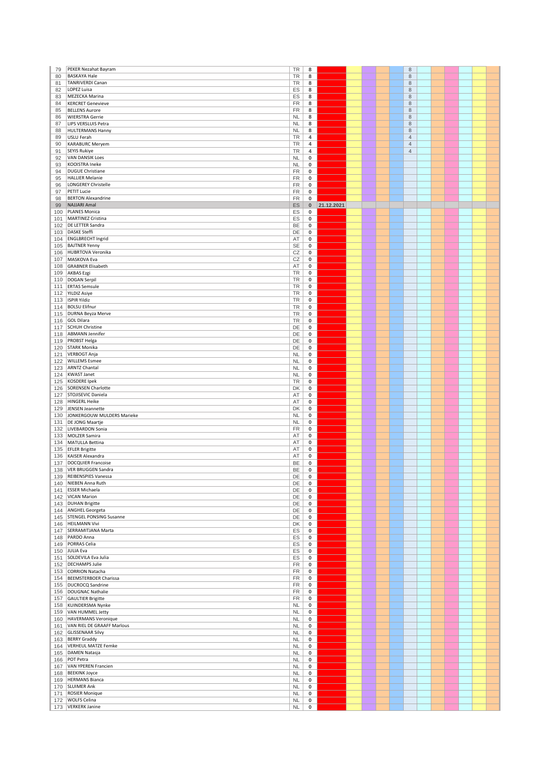| 79         | PEKER Nezahat Bayram                                   | TR                     | 8         |            |  | $\,$ 8 $\,$    |  |  |  |
|------------|--------------------------------------------------------|------------------------|-----------|------------|--|----------------|--|--|--|
| 80         | <b>BASKAYA Hale</b>                                    | TR                     | 8         |            |  | $\,8\,$        |  |  |  |
| 81         | TANRIVERDI Canan                                       | TR                     | 8         |            |  | $\,8\,$        |  |  |  |
| 82         | LOPEZ Luisa                                            | ES                     | 8         |            |  | 8              |  |  |  |
| 83         | MEZECKA Marina                                         | ES                     | 8         |            |  | 8              |  |  |  |
| 84         | <b>KERCRET Genevieve</b>                               | FR                     | 8         |            |  | 8              |  |  |  |
| 85         | <b>BELLENS Aurore</b>                                  | <b>FR</b>              | 8         |            |  | 8              |  |  |  |
| 86<br>87   | <b>WIERSTRA Gerrie</b>                                 | <b>NL</b><br><b>NL</b> | 8         |            |  | 8<br>$\,8\,$   |  |  |  |
| 88         | LIPS VERSLUIS Petra<br><b>HULTERMANS Hanny</b>         | <b>NL</b>              | 8<br>8    |            |  | 8              |  |  |  |
| 89         | USLU Ferah                                             | <b>TR</b>              | 4         |            |  | $\overline{4}$ |  |  |  |
| 90         | <b>KARABURC Meryem</b>                                 | <b>TR</b>              | 4         |            |  | $\overline{4}$ |  |  |  |
| 91         | SEYIS Rukiye                                           | TR                     | 4         |            |  | $\overline{4}$ |  |  |  |
| 92         | <b>VAN DANSIK Loes</b>                                 | <b>NL</b>              | 0         |            |  |                |  |  |  |
| 93         | KOOISTRA Ineke                                         | <b>NL</b>              | 0         |            |  |                |  |  |  |
| 94         | DUGUE Christiane                                       | <b>FR</b>              | 0         |            |  |                |  |  |  |
| 95         | <b>HALLIER Melanie</b>                                 | <b>FR</b>              | 0         |            |  |                |  |  |  |
| 96         | LONGEREY Christelle                                    | FR                     | 0         |            |  |                |  |  |  |
| 97         | PETIT Lucie                                            | FR                     | 0         |            |  |                |  |  |  |
| 98         | <b>BERTON Alexandrine</b>                              | <b>FR</b>              | 0         |            |  |                |  |  |  |
| 99         | NAJJARI Amal                                           | ES                     | $\pmb{0}$ | 21.12.2021 |  |                |  |  |  |
| 100<br>101 | PLANES Monica<br>MARTINEZ Cristina                     | ES<br>ES               | 0<br>0    |            |  |                |  |  |  |
| 102        | <b>DE LETTER Sandra</b>                                | BE                     | 0         |            |  |                |  |  |  |
| 103        | DASKE Steffi                                           | DE                     | 0         |            |  |                |  |  |  |
| 104        | <b>ENGLBRECHT Ingrid</b>                               | AT                     | 0         |            |  |                |  |  |  |
| 105        | <b>BAJTNER Yenny</b>                                   | <b>SE</b>              | 0         |            |  |                |  |  |  |
| 106        | HUBRTOVA Veronika                                      | CZ                     | 0         |            |  |                |  |  |  |
| 107        | MASKOVA Eva                                            | CZ                     | 0         |            |  |                |  |  |  |
| 108        | <b>GRABNER Elisabeth</b>                               | AT                     | 0         |            |  |                |  |  |  |
| 109        | AKBAS Ezgi                                             | TR                     | 0         |            |  |                |  |  |  |
| 110        | DOGAN Serpil                                           | TR                     | 0         |            |  |                |  |  |  |
| 111<br>112 | <b>ERTAS Semsule</b><br><b>YILDIZ Asiye</b>            | <b>TR</b><br>TR        | 0<br>0    |            |  |                |  |  |  |
| 113        | <b>ISPIR Yildiz</b>                                    | <b>TR</b>              | $\pmb{0}$ |            |  |                |  |  |  |
| 114        | <b>BOLSU Elifnur</b>                                   | TR                     | 0         |            |  |                |  |  |  |
| 115        | DURNA Beyza Merve                                      | TR                     | 0         |            |  |                |  |  |  |
| 116        | GOL Dilara                                             | <b>TR</b>              | 0         |            |  |                |  |  |  |
| 117        | SCHUH Christine                                        | DE                     | 0         |            |  |                |  |  |  |
| 118        | <b>ABMANN Jennifer</b>                                 | DE                     | 0         |            |  |                |  |  |  |
| 119        | <b>PROBST Helga</b>                                    | DE                     | 0         |            |  |                |  |  |  |
| 120        | <b>STARK Monika</b>                                    | DE                     | 0         |            |  |                |  |  |  |
| 121        | VERBOGT Anja                                           | <b>NL</b>              | 0         |            |  |                |  |  |  |
| 122        | <b>WILLEMS</b> Esmee                                   | <b>NL</b>              | $\pmb{0}$ |            |  |                |  |  |  |
| 123        | <b>ARNTZ Chantal</b>                                   | <b>NL</b>              | 0         |            |  |                |  |  |  |
| 124        | KWAST Janet                                            | <b>NL</b>              | $\pmb{0}$ |            |  |                |  |  |  |
| 125<br>126 | KOSDERE Ipek<br>SORENSEN Charlotte                     | <b>TR</b><br>DK        | 0<br>0    |            |  |                |  |  |  |
| 127        | STOJISEVIC Daniela                                     | AT                     | 0         |            |  |                |  |  |  |
| 128        | HINGERL Heike                                          | AT                     | 0         |            |  |                |  |  |  |
| 129        | JENSEN Jeannette                                       | DK                     | 0         |            |  |                |  |  |  |
| 130        | JONKERGOUW MULDERS Marieke                             | <b>NL</b>              | 0         |            |  |                |  |  |  |
| 131        | DE JONG Maartje                                        | <b>NL</b>              | 0         |            |  |                |  |  |  |
| 132        | LIVEBARDON Sonia                                       | <b>FR</b>              | 0         |            |  |                |  |  |  |
| 133        | MOLZER Samira                                          | AT                     | 0         |            |  |                |  |  |  |
| 134        | MATULLA Bettina                                        | AT                     | 0         |            |  |                |  |  |  |
| 135<br>136 | <b>EFLER Brigitte</b><br>KAISER Alexandra              | AT<br>AT               | 0<br>0    |            |  |                |  |  |  |
| 137        | DOCQUIER Francoise                                     | BE                     | 0         |            |  |                |  |  |  |
| 138        | VER BRUGGEN Sandra                                     | BE                     | 0         |            |  |                |  |  |  |
| 139        | REIBENSPIES Vanessa                                    | DE                     | $\pmb{0}$ |            |  |                |  |  |  |
| 140        | NIEBEN Anna Ruth                                       | DE                     | 0         |            |  |                |  |  |  |
| 141        | <b>ESSER Michaela</b>                                  | DE                     | 0         |            |  |                |  |  |  |
| 142        | <b>VICAN Marion</b>                                    | DE                     | 0         |            |  |                |  |  |  |
|            | 143   DUHAN Brigitte                                   | DE                     | 0         |            |  |                |  |  |  |
|            | 144   ANGHEL Georgeta<br>145   STENGEL PONSING Susanne | DE<br>DE               | 0<br>0    |            |  |                |  |  |  |
| 146        | <b>HEILMANN Vivi</b>                                   | DK                     | 0         |            |  |                |  |  |  |
| 147        | SERRAMITJANA Marta                                     | ES                     | 0         |            |  |                |  |  |  |
| 148        | PARDO Anna                                             | ES                     | 0         |            |  |                |  |  |  |
| 149        | <b>PORRAS Celia</b>                                    | ES                     | $\pmb{0}$ |            |  |                |  |  |  |
|            | 150 JULIA Eva                                          | ES                     | 0         |            |  |                |  |  |  |
|            | 151 SOLDEVILA Eva Julia                                | ES                     | 0         |            |  |                |  |  |  |
| 152        | <b>DECHAMPS Julie</b>                                  | <b>FR</b>              | 0         |            |  |                |  |  |  |
|            | 153 CORRION Natacha                                    | <b>FR</b>              | 0         |            |  |                |  |  |  |
| 155        | 154 BEEMSTERBOER Charissa<br>DUCROCQ Sandrine          | <b>FR</b><br>FR        | 0<br>0    |            |  |                |  |  |  |
| 156        | DOUGNAC Nathalie                                       | FR                     | 0         |            |  |                |  |  |  |
| 157        | GAULTIER Brigitte                                      | FR                     | 0         |            |  |                |  |  |  |
| 158        | KUINDERSMA Nynke                                       | <b>NL</b>              | $\pmb{0}$ |            |  |                |  |  |  |
| 159        | VAN HUMMEL Jetty                                       | <b>NL</b>              | 0         |            |  |                |  |  |  |
| 160        | HAVERMANS Veronique                                    | <b>NL</b>              | 0         |            |  |                |  |  |  |
| 161        | VAN RIEL DE GRAAFF Marlous                             | <b>NL</b>              | 0         |            |  |                |  |  |  |
| 162        | <b>GLISSENAAR Silvy</b>                                | <b>NL</b>              | 0         |            |  |                |  |  |  |
|            | 163 BERRY Graddy                                       | <b>NL</b>              | 0         |            |  |                |  |  |  |
| 164<br>165 | VERHEUL MATZE Femke<br>DAMEN Natasja                   | <b>NL</b><br><b>NL</b> | 0<br>0    |            |  |                |  |  |  |
| 166        | POT Petra                                              | <b>NL</b>              | 0         |            |  |                |  |  |  |
| 167        | VAN YPEREN Francien                                    | <b>NL</b>              | $\pmb{0}$ |            |  |                |  |  |  |
|            | 168 BEEKINK Joyce                                      | <b>NL</b>              | 0         |            |  |                |  |  |  |
|            | 169   HERMANS Bianca                                   | <b>NL</b>              | 0         |            |  |                |  |  |  |
|            | 170   SLUIMER Ank                                      | <b>NL</b>              | 0         |            |  |                |  |  |  |
|            |                                                        |                        |           |            |  |                |  |  |  |
| 171        | <b>ROSIER Monique</b>                                  | <b>NL</b>              | 0         |            |  |                |  |  |  |
| 172        | <b>WOLFS Celina</b><br>173 VERKERK Janine              | <b>NL</b><br><b>NL</b> | 0<br>0    |            |  |                |  |  |  |